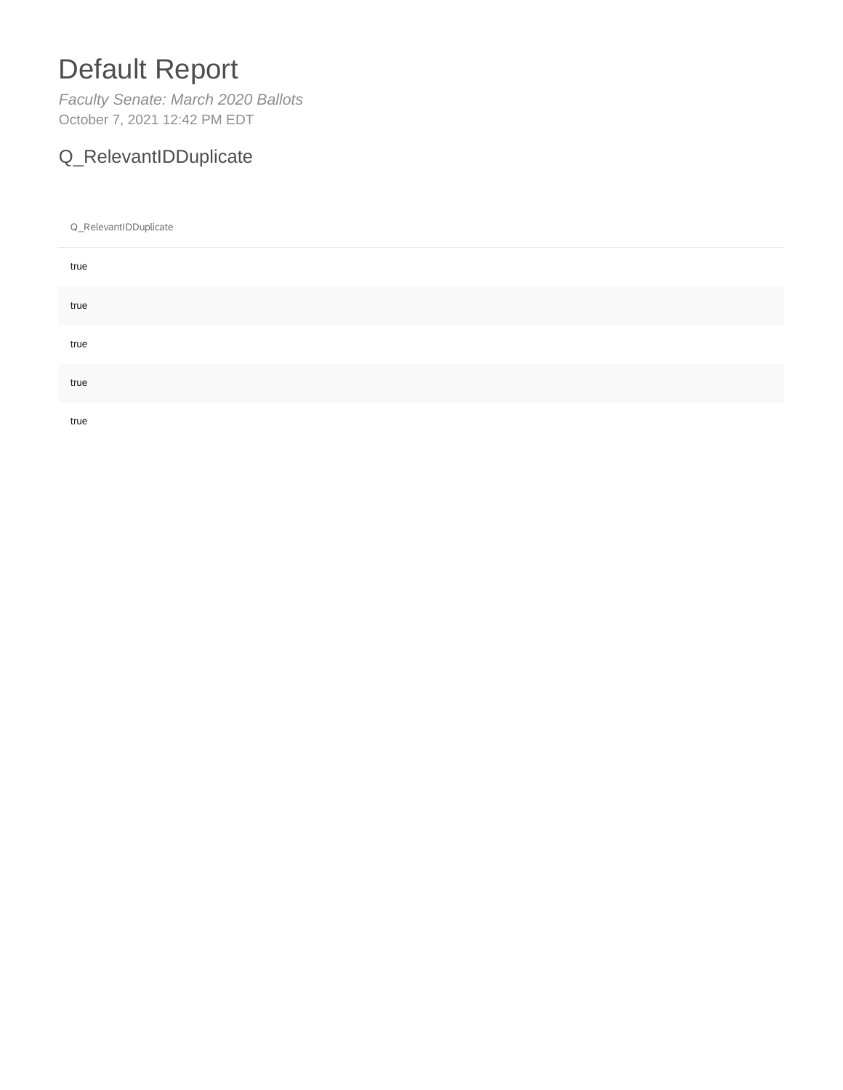# Default Report

*Faculty Senate: March 2020 Ballots* October 7, 2021 12:42 PM EDT

### Q\_RelevantIDDuplicate

Q\_RelevantIDDuplicate

| true |  |  |
|------|--|--|
| true |  |  |
| true |  |  |
| true |  |  |
| true |  |  |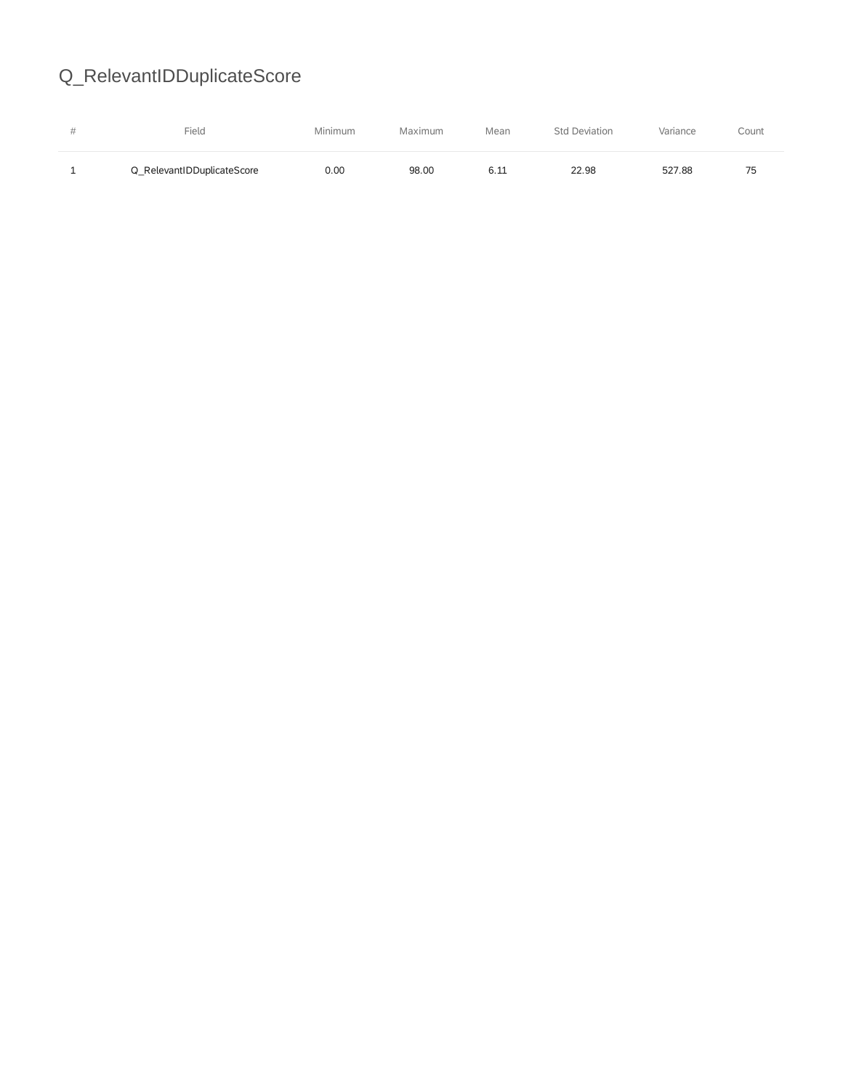# Q\_RelevantIDDuplicateScore

| <b>Selection</b> | Field                      | Minimum | Maximum | Mean | <b>Std Deviation</b> | Variance | Count |
|------------------|----------------------------|---------|---------|------|----------------------|----------|-------|
|                  | Q RelevantIDDuplicateScore | 0.OC    | 98.00   |      | 22.98                | 527.88   | 75    |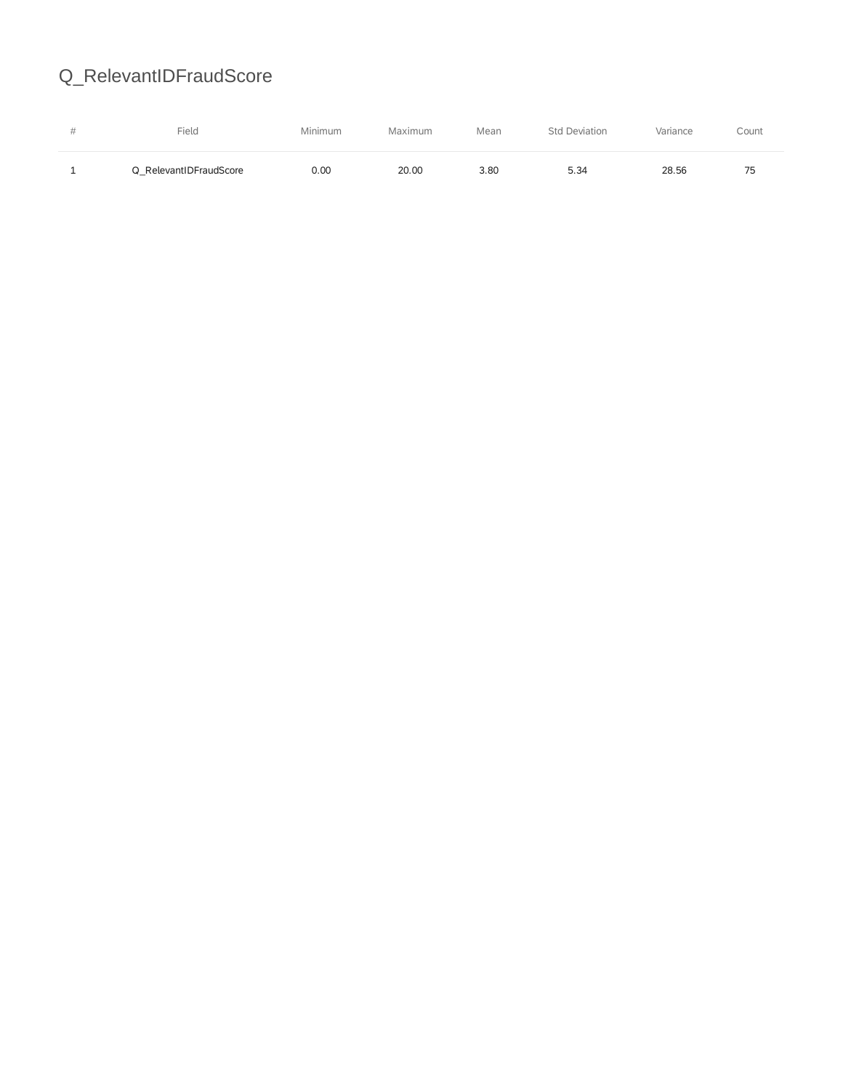## Q\_RelevantIDFraudScore

|   | Field                  | Minimum | Maximum | Mean | Deviation<br>Sta | Variance | Count     |
|---|------------------------|---------|---------|------|------------------|----------|-----------|
| - | Q RelevantIDFraudScore | 0.00    | 20.00   | 3.80 | 5.34             | 28.56    | 75<br>ر ، |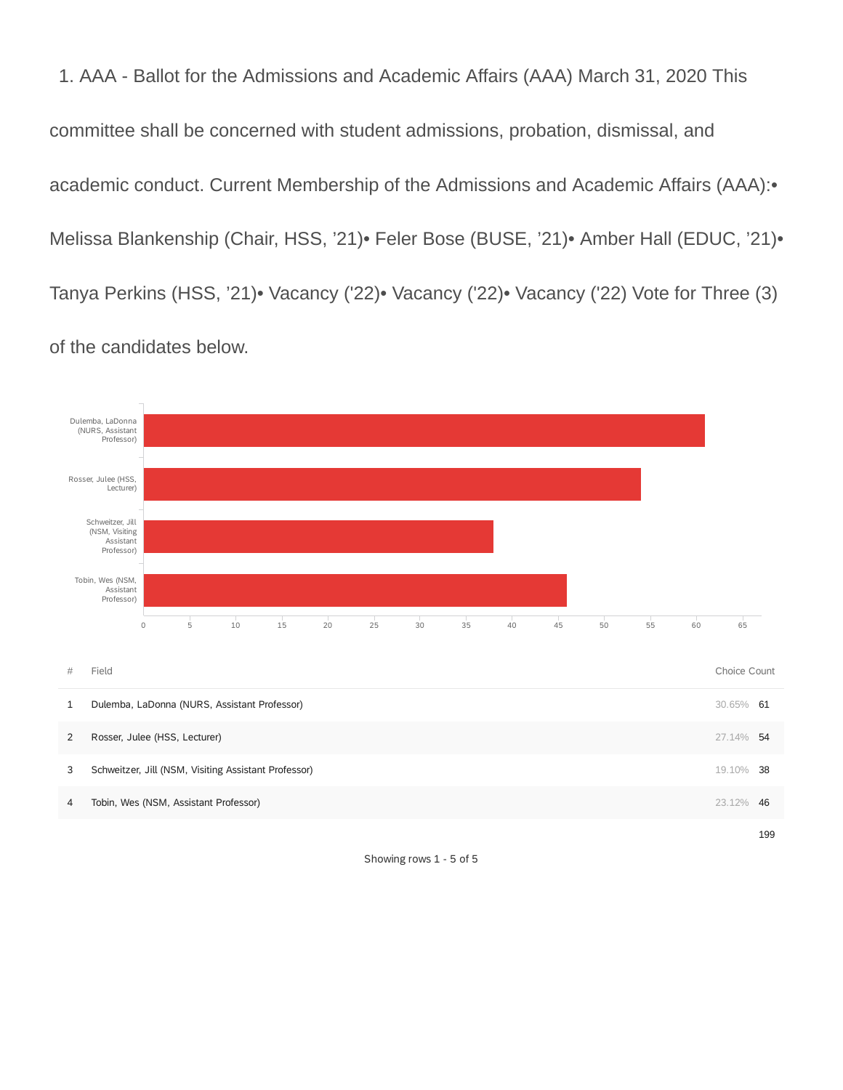1. AAA - Ballot for the Admissions and Academic Affairs (AAA) March 31, 2020 This committee shall be concerned with student admissions, probation, dismissal, and academic conduct. Current Membership of the Admissions and Academic Affairs (AAA):• Melissa Blankenship (Chair, HSS, '21)• Feler Bose (BUSE, '21)• Amber Hall (EDUC, '21)• Tanya Perkins (HSS, '21)• Vacancy ('22)• Vacancy ('22)• Vacancy ('22) Vote for Three (3) of the candidates below.



Showing rows 1 - 5 of 5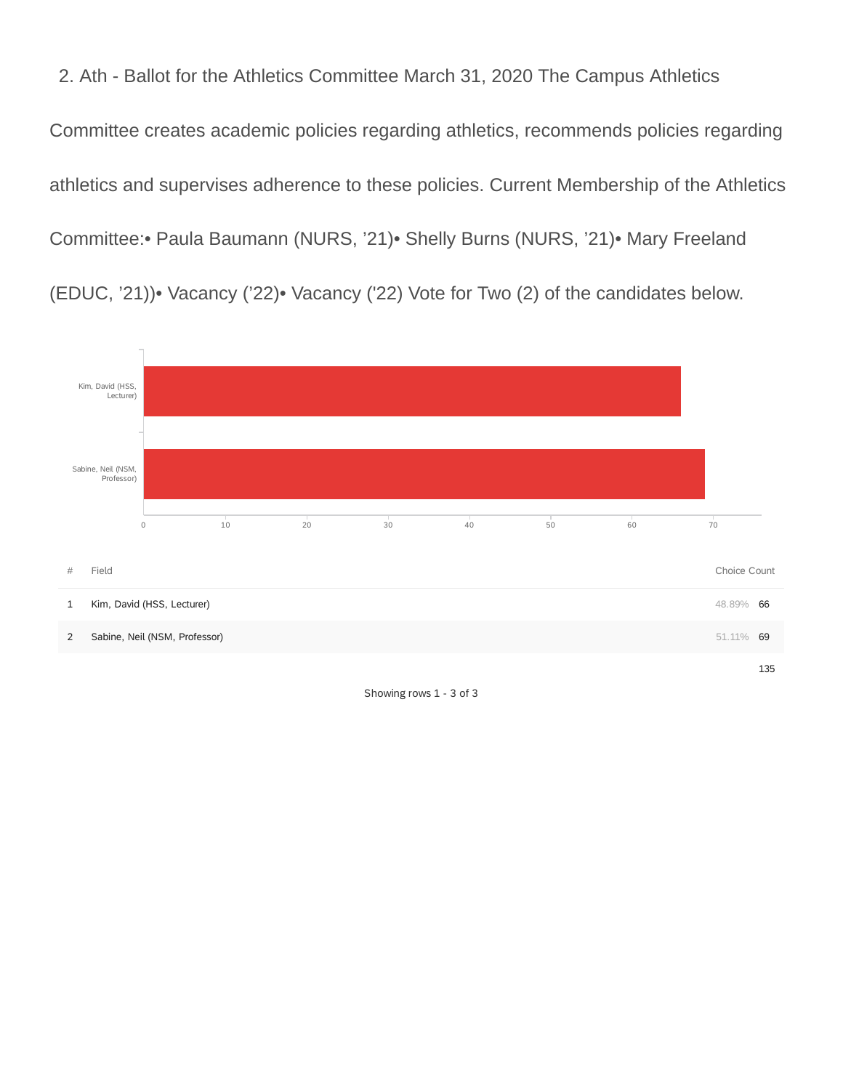2. Ath - Ballot for the Athletics Committee March 31, 2020 The Campus Athletics Committee creates academic policies regarding athletics, recommends policies regarding athletics and supervises adherence to these policies. Current Membership of the Athletics Committee:• Paula Baumann (NURS, '21)• Shelly Burns (NURS, '21)• Mary Freeland (EDUC, '21))• Vacancy ('22)• Vacancy ('22) Vote for Two (2) of the candidates below.



Showing rows 1 - 3 of 3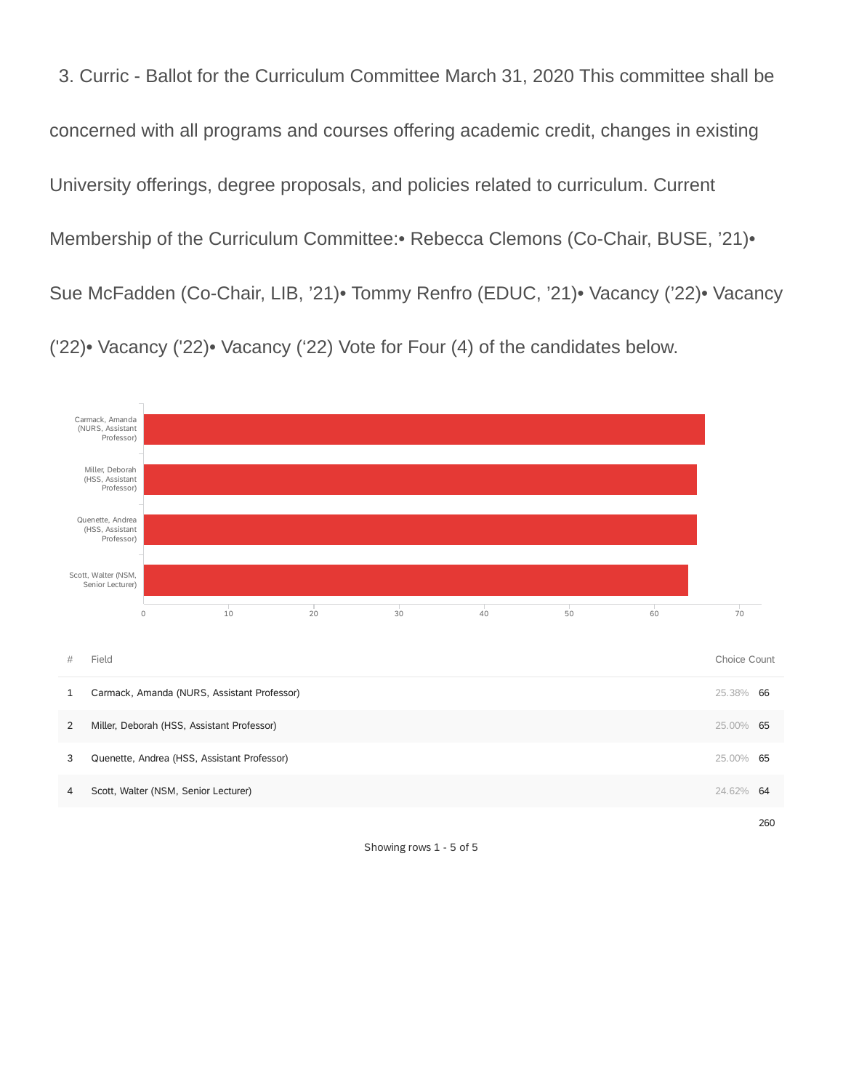3. Curric - Ballot for the Curriculum Committee March 31, 2020 This committee shall be concerned with all programs and courses offering academic credit, changes in existing University offerings, degree proposals, and policies related to curriculum. Current Membership of the Curriculum Committee:• Rebecca Clemons (Co-Chair, BUSE, '21)• Sue McFadden (Co-Chair, LIB, '21)• Tommy Renfro (EDUC, '21)• Vacancy ('22)• Vacancy ('22)• Vacancy ('22)• Vacancy ('22) Vote for Four (4) of the candidates below.



Showing rows 1 - 5 of 5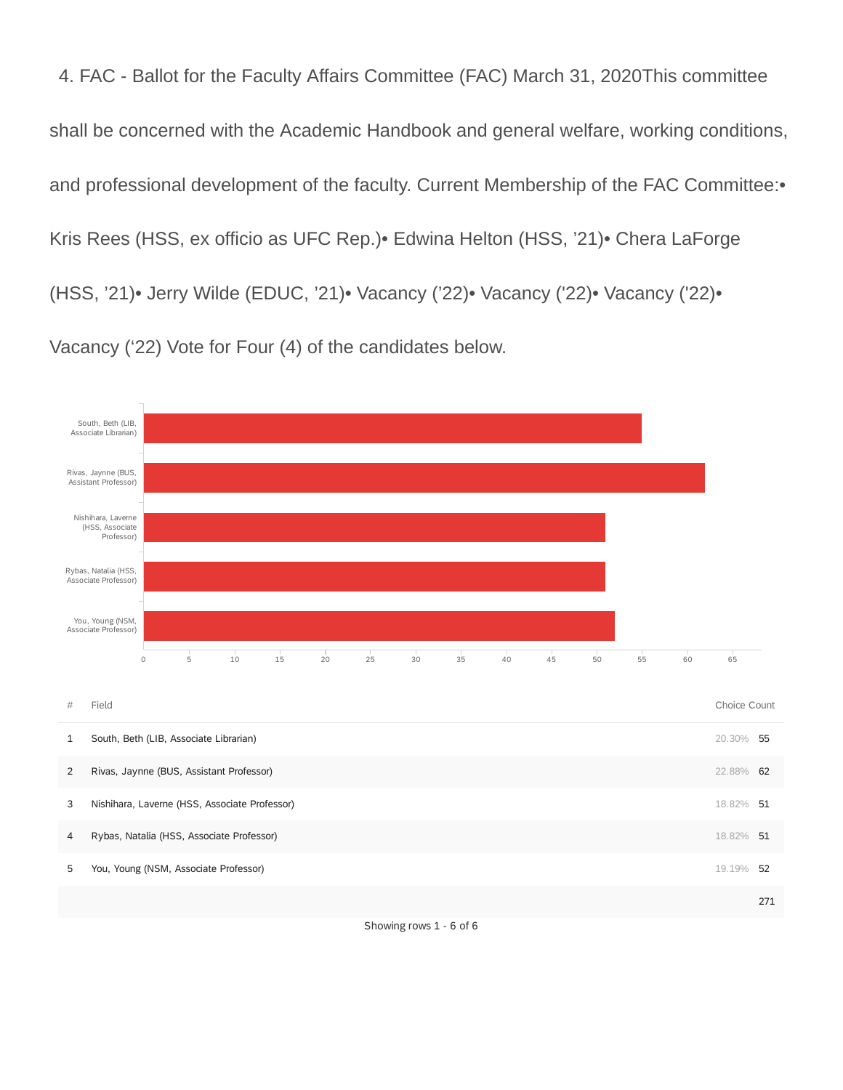4. FAC - Ballot for the Faculty Affairs Committee (FAC) March 31, 2020This committee shall be concerned with the Academic Handbook and general welfare, working conditions, and professional development of the faculty. Current Membership of the FAC Committee:• Kris Rees (HSS, ex officio as UFC Rep.)• Edwina Helton (HSS, '21)• Chera LaForge (HSS, '21)• Jerry Wilde (EDUC, '21)• Vacancy ('22)• Vacancy ('22)• Vacancy ('22)• Vacancy ('22) Vote for Four (4) of the candidates below.

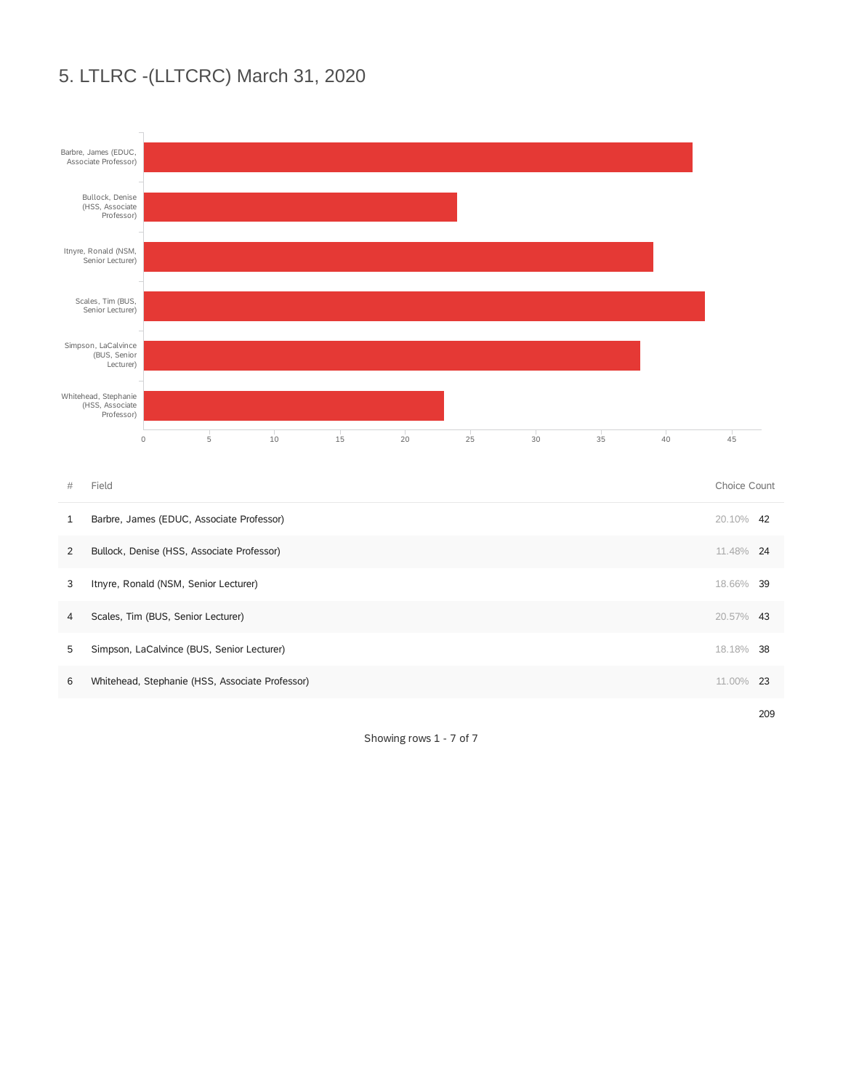#### 5. LTLRC -(LLTCRC) March 31, 2020



Showing rows 1 - 7 of 7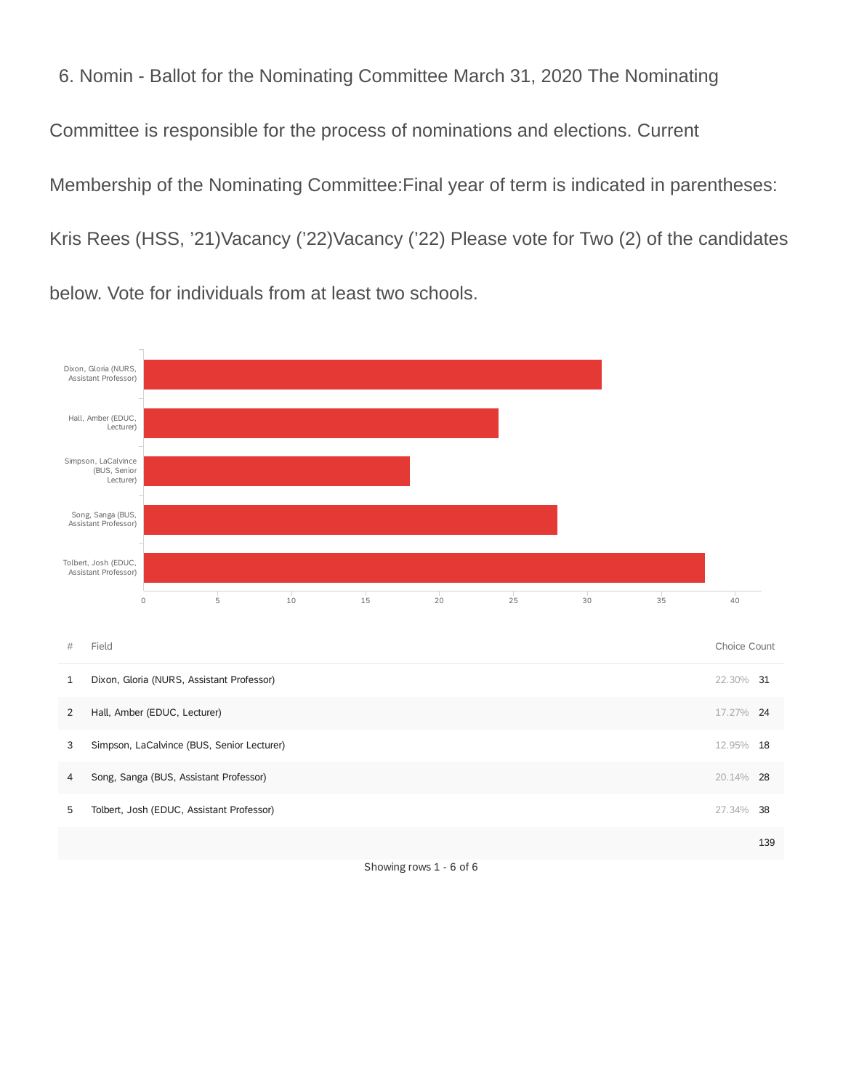6. Nomin - Ballot for the Nominating Committee March 31, 2020 The Nominating Committee is responsible for the process of nominations and elections. Current Membership of the Nominating Committee:Final year of term is indicated in parentheses: Kris Rees (HSS, '21)Vacancy ('22)Vacancy ('22) Please vote for Two (2) of the candidates below. Vote for individuals from at least two schools.



Showing rows 1 - 6 of 6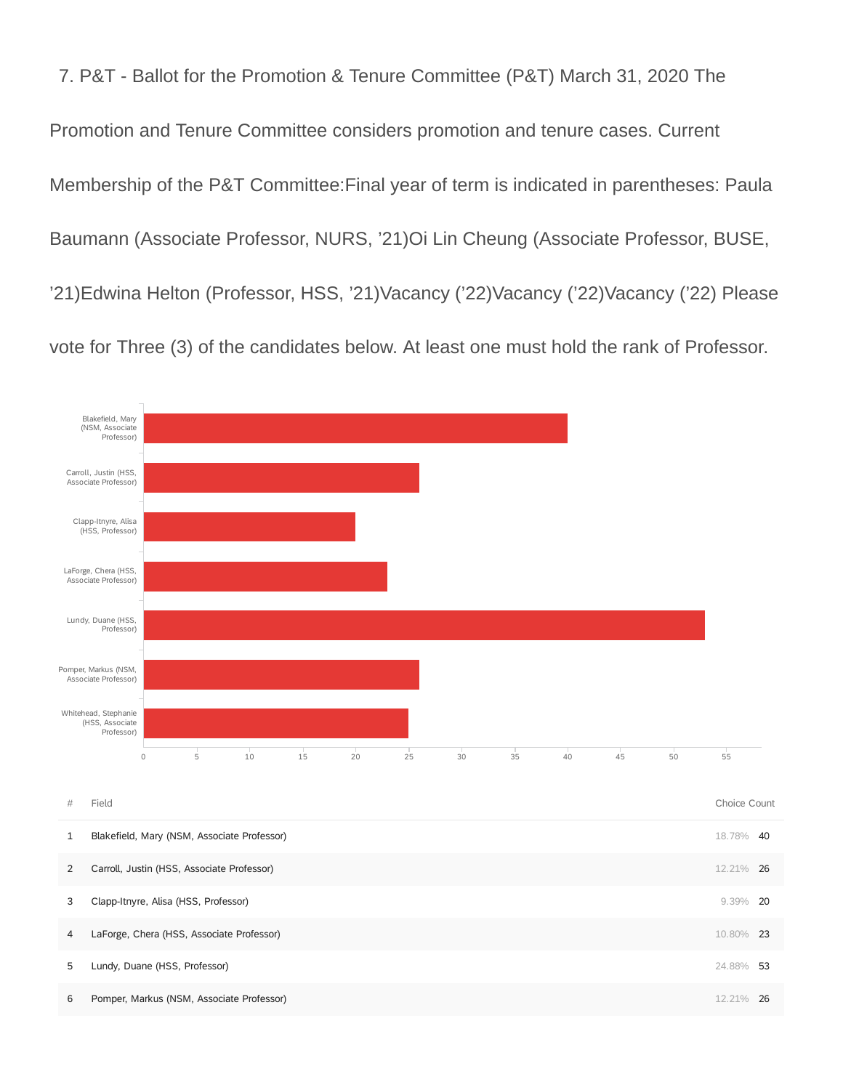7. P&T - Ballot for the Promotion & Tenure Committee (P&T) March 31, 2020 The Promotion and Tenure Committee considers promotion and tenure cases. Current Membership of the P&T Committee:Final year of term is indicated in parentheses: Paula Baumann (Associate Professor, NURS, '21)Oi Lin Cheung (Associate Professor, BUSE, '21)Edwina Helton (Professor, HSS, '21)Vacancy ('22)Vacancy ('22)Vacancy ('22) Please vote for Three (3) of the candidates below. At least one must hold the rank of Professor.